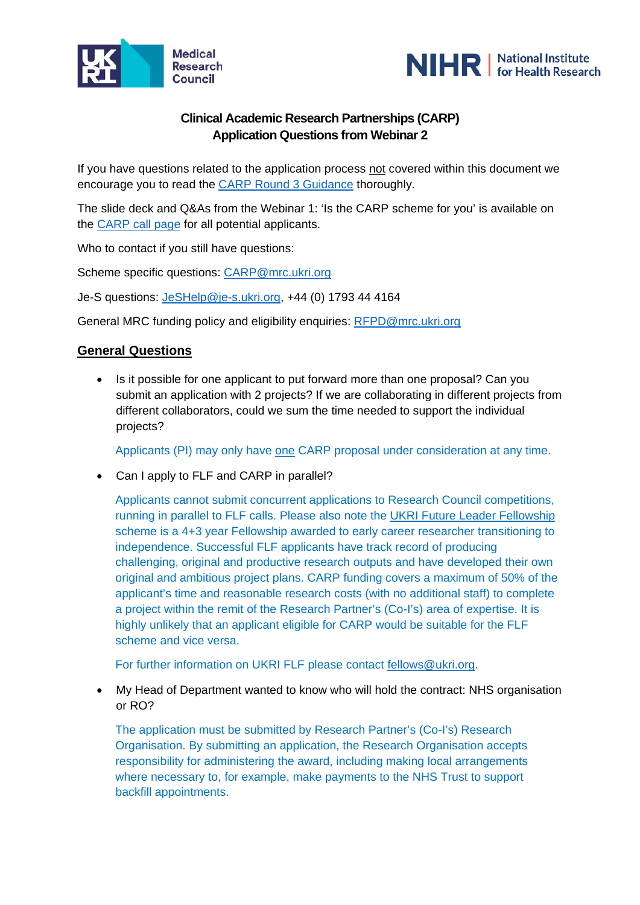



# **Clinical Academic Research Partnerships (CARP) Application Questions from Webinar 2**

If you have questions related to the application process not covered within this document we encourage you to read the [CARP Round 3 Guidance](https://mrc.ukri.org/funding/browse/clinical-academic-research-partnerships/clinical-academic-research-partnerships-round-3-announcement/carp-round-3-guidance-2020/) thoroughly.

The slide deck and Q&As from the Webinar 1: 'Is the CARP scheme for you' is available on the [CARP call page](https://mrc.ukri.org/funding/browse/clinical-academic-research-partnerships/clinical-academic-research-partnerships-round-3-announcement/is-carp-the-scheme-for-you-july-2020/) for all potential applicants.

Who to contact if you still have questions:

Scheme specific questions: [CARP@mrc.ukri.org](mailto:CARP@mrc.ukri.org)

Je-S questions: [JeSHelp@je-s.ukri.org,](mailto:JeSHelp@je-s.ukri.org) +44 (0) 1793 44 4164

General MRC funding policy and eligibility enquiries: [RFPD@mrc.ukri.org](mailto:RFPD@mrc.ukri.org)

## **General Questions**

• Is it possible for one applicant to put forward more than one proposal? Can you submit an application with 2 projects? If we are collaborating in different projects from different collaborators, could we sum the time needed to support the individual projects?

Applicants (PI) may only have one CARP proposal under consideration at any time.

• Can I apply to FLF and CARP in parallel?

Applicants cannot submit concurrent applications to Research Council competitions, running in parallel to FLF calls. Please also note the [UKRI Future Leader Fellowship](https://www.ukri.org/funding/funding-opportunities/future-leaders-fellowships/) scheme is a 4+3 year Fellowship awarded to early career researcher transitioning to independence. Successful FLF applicants have track record of producing challenging, original and productive research outputs and have developed their own original and ambitious project plans. CARP funding covers a maximum of 50% of the applicant's time and reasonable research costs (with no additional staff) to complete a project within the remit of the Research Partner's (Co-I's) area of expertise. It is highly unlikely that an applicant eligible for CARP would be suitable for the FLF scheme and vice versa.

For further information on UKRI FLF please contact [fellows@ukri.org.](mailto:fellows@ukri.org)

• My Head of Department wanted to know who will hold the contract: NHS organisation or RO?

The application must be submitted by Research Partner's (Co-I's) Research Organisation. By submitting an application, the Research Organisation accepts responsibility for administering the award, including making local arrangements where necessary to, for example, make payments to the NHS Trust to support backfill appointments.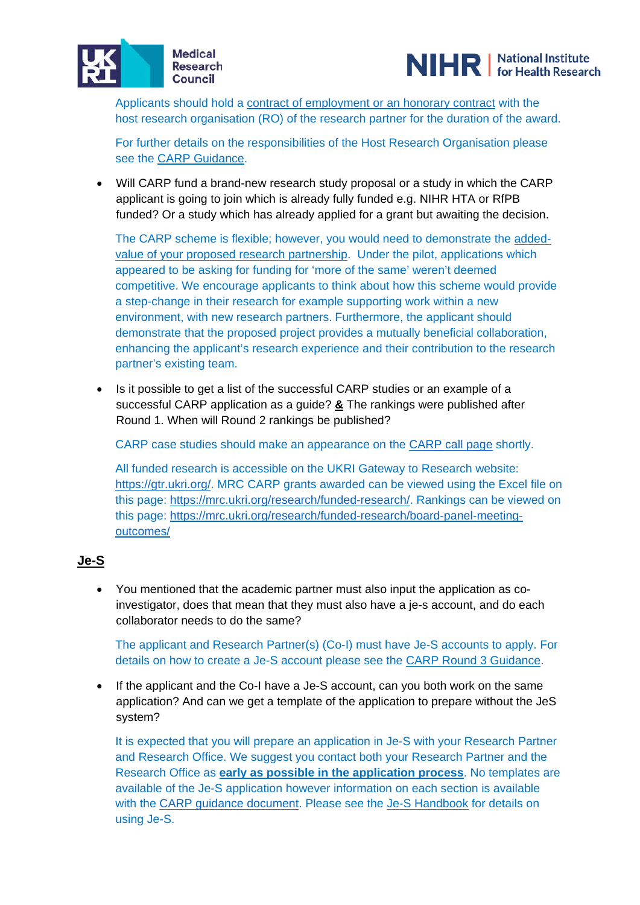



Applicants should hold a contract of employment or an honorary contract with the host research organisation (RO) of the research partner for the duration of the award.

For further details on the responsibilities of the Host Research Organisation please see the [CARP Guidance.](https://mrc.ukri.org/funding/browse/clinical-academic-research-partnerships/clinical-academic-research-partnerships-round-3-announcement/carp-round-3-guidance-2020/)

• Will CARP fund a brand-new research study proposal or a study in which the CARP applicant is going to join which is already fully funded e.g. NIHR HTA or RfPB funded? Or a study which has already applied for a grant but awaiting the decision.

The CARP scheme is flexible; however, you would need to demonstrate the addedvalue of your proposed research partnership. Under the pilot, applications which appeared to be asking for funding for 'more of the same' weren't deemed competitive. We encourage applicants to think about how this scheme would provide a step-change in their research for example supporting work within a new environment, with new research partners. Furthermore, the applicant should demonstrate that the proposed project provides a mutually beneficial collaboration, enhancing the applicant's research experience and their contribution to the research partner's existing team.

• Is it possible to get a list of the successful CARP studies or an example of a successful CARP application as a guide? **&** The rankings were published after Round 1. When will Round 2 rankings be published?

CARP case studies should make an appearance on the [CARP call page](https://mrc.ukri.org/funding/browse/clinical-academic-research-partnerships/clinical-academic-research-partnerships-round-3-announcement/) shortly.

All funded research is accessible on the UKRI Gateway to Research website: [https://gtr.ukri.org/.](https://gtr.ukri.org/) MRC CARP grants awarded can be viewed using the Excel file on this page: [https://mrc.ukri.org/research/funded-research/.](https://mrc.ukri.org/research/funded-research/) Rankings can be viewed on this page: [https://mrc.ukri.org/research/funded-research/board-panel-meeting](https://mrc.ukri.org/research/funded-research/board-panel-meeting-outcomes/)[outcomes/](https://mrc.ukri.org/research/funded-research/board-panel-meeting-outcomes/)

## **Je-S**

• You mentioned that the academic partner must also input the application as coinvestigator, does that mean that they must also have a je-s account, and do each collaborator needs to do the same?

The applicant and Research Partner(s) (Co-I) must have Je-S accounts to apply. For details on how to create a Je-S account please see the [CARP Round 3 Guidance.](https://mrc.ukri.org/funding/browse/clinical-academic-research-partnerships/clinical-academic-research-partnerships-round-3-announcement/carp-round-3-guidance-2020/)

• If the applicant and the Co-I have a Je-S account, can you both work on the same application? And can we get a template of the application to prepare without the JeS system?

It is expected that you will prepare an application in Je-S with your Research Partner and Research Office. We suggest you contact both your Research Partner and the Research Office as **early as possible in the application process**. No templates are available of the Je-S application however information on each section is available with the [CARP guidance document.](https://mrc.ukri.org/funding/browse/clinical-academic-research-partnerships/clinical-academic-research-partnerships-round-3-announcement/carp-round-3-guidance-2020/) Please see the [Je-S Handbook](https://je-s.rcuk.ac.uk/Handbook/Index.htm) for details on using Je-S.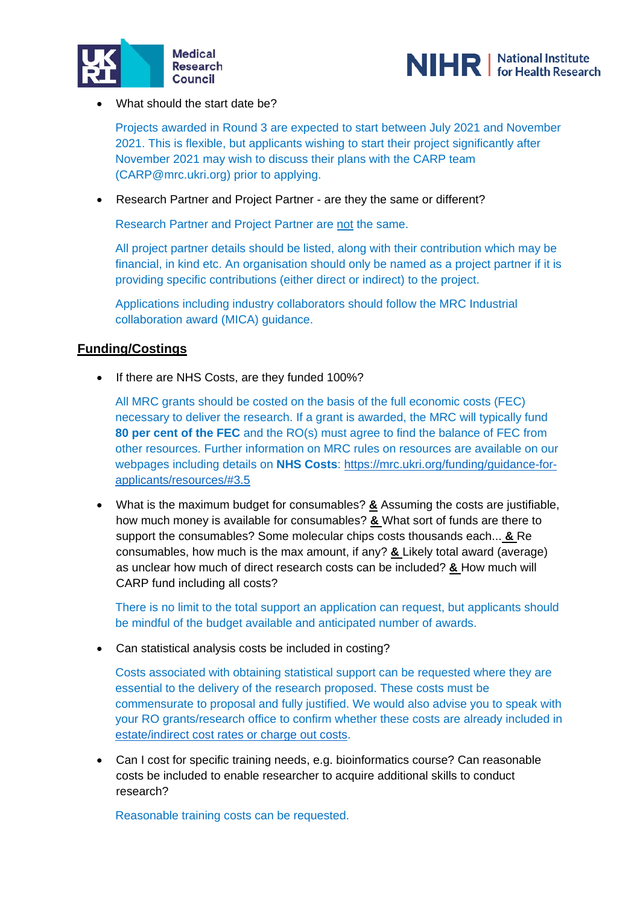



• What should the start date be?

Projects awarded in Round 3 are expected to start between July 2021 and November 2021. This is flexible, but applicants wishing to start their project significantly after November 2021 may wish to discuss their plans with the CARP team (CARP@mrc.ukri.org) prior to applying.

• Research Partner and Project Partner - are they the same or different?

Research Partner and Project Partner are not the same.

All project partner details should be listed, along with their contribution which may be financial, in kind etc. An organisation should only be named as a project partner if it is providing specific contributions (either direct or indirect) to the project.

Applications including industry collaborators should follow the MRC Industrial collaboration award (MICA) guidance.

## **Funding/Costings**

• If there are NHS Costs, are they funded 100%?

All MRC grants should be costed on the basis of the full economic costs (FEC) necessary to deliver the research. If a grant is awarded, the MRC will typically fund **80 per cent of the FEC** and the RO(s) must agree to find the balance of FEC from other resources. Further information on MRC rules on resources are available on our webpages including details on **NHS Costs**: [https://mrc.ukri.org/funding/guidance-for](https://mrc.ukri.org/funding/guidance-for-applicants/resources/#3.5)[applicants/resources/#3.5](https://mrc.ukri.org/funding/guidance-for-applicants/resources/#3.5)

• What is the maximum budget for consumables? **&** Assuming the costs are justifiable, how much money is available for consumables? **&** What sort of funds are there to support the consumables? Some molecular chips costs thousands each... **&** Re consumables, how much is the max amount, if any? **&** Likely total award (average) as unclear how much of direct research costs can be included? **&** How much will CARP fund including all costs?

There is no limit to the total support an application can request, but applicants should be mindful of the budget available and anticipated number of awards.

• Can statistical analysis costs be included in costing?

Costs associated with obtaining statistical support can be requested where they are essential to the delivery of the research proposed. These costs must be commensurate to proposal and fully justified. We would also advise you to speak with your RO grants/research office to confirm whether these costs are already included in [estate/indirect cost rates or charge out costs.](https://mrc.ukri.org/funding/guidance-for-applicants/resources/#3.2.3)

• Can I cost for specific training needs, e.g. bioinformatics course? Can reasonable costs be included to enable researcher to acquire additional skills to conduct research?

Reasonable training costs can be requested.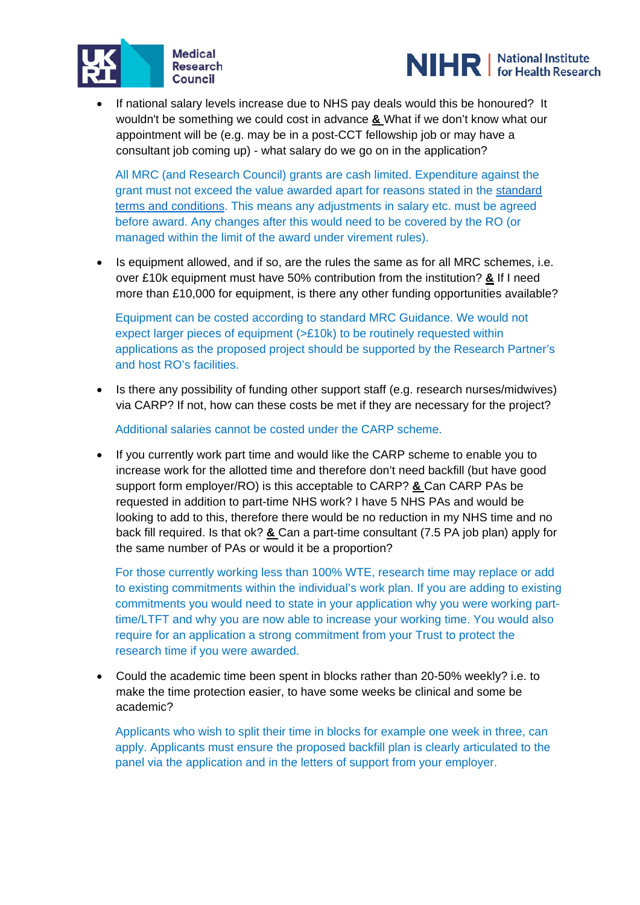



If national salary levels increase due to NHS pay deals would this be honoured? It wouldn't be something we could cost in advance **&** What if we don't know what our appointment will be (e.g. may be in a post-CCT fellowship job or may have a consultant job coming up) - what salary do we go on in the application?

All MRC (and Research Council) grants are cash limited. Expenditure against the grant must not exceed the value awarded apart for reasons stated in the [standard](https://www.ukri.org/funding/information-for-award-holders/grant-terms-and-conditions/)  [terms and conditions.](https://www.ukri.org/funding/information-for-award-holders/grant-terms-and-conditions/) This means any adjustments in salary etc. must be agreed before award. Any changes after this would need to be covered by the RO (or managed within the limit of the award under virement rules).

• Is equipment allowed, and if so, are the rules the same as for all MRC schemes, i.e. over £10k equipment must have 50% contribution from the institution? **&** If I need more than £10,000 for equipment, is there any other funding opportunities available?

Equipment can be costed according to standard MRC Guidance. We would not expect larger pieces of equipment (>£10k) to be routinely requested within applications as the proposed project should be supported by the Research Partner's and host RO's facilities.

• Is there any possibility of funding other support staff (e.g. research nurses/midwives) via CARP? If not, how can these costs be met if they are necessary for the project?

Additional salaries cannot be costed under the CARP scheme.

• If you currently work part time and would like the CARP scheme to enable you to increase work for the allotted time and therefore don't need backfill (but have good support form employer/RO) is this acceptable to CARP? **&** Can CARP PAs be requested in addition to part-time NHS work? I have 5 NHS PAs and would be looking to add to this, therefore there would be no reduction in my NHS time and no back fill required. Is that ok? **&** Can a part-time consultant (7.5 PA job plan) apply for the same number of PAs or would it be a proportion?

For those currently working less than 100% WTE, research time may replace or add to existing commitments within the individual's work plan. If you are adding to existing commitments you would need to state in your application why you were working parttime/LTFT and why you are now able to increase your working time. You would also require for an application a strong commitment from your Trust to protect the research time if you were awarded.

• Could the academic time been spent in blocks rather than 20-50% weekly? i.e. to make the time protection easier, to have some weeks be clinical and some be academic?

Applicants who wish to split their time in blocks for example one week in three, can apply. Applicants must ensure the proposed backfill plan is clearly articulated to the panel via the application and in the letters of support from your employer.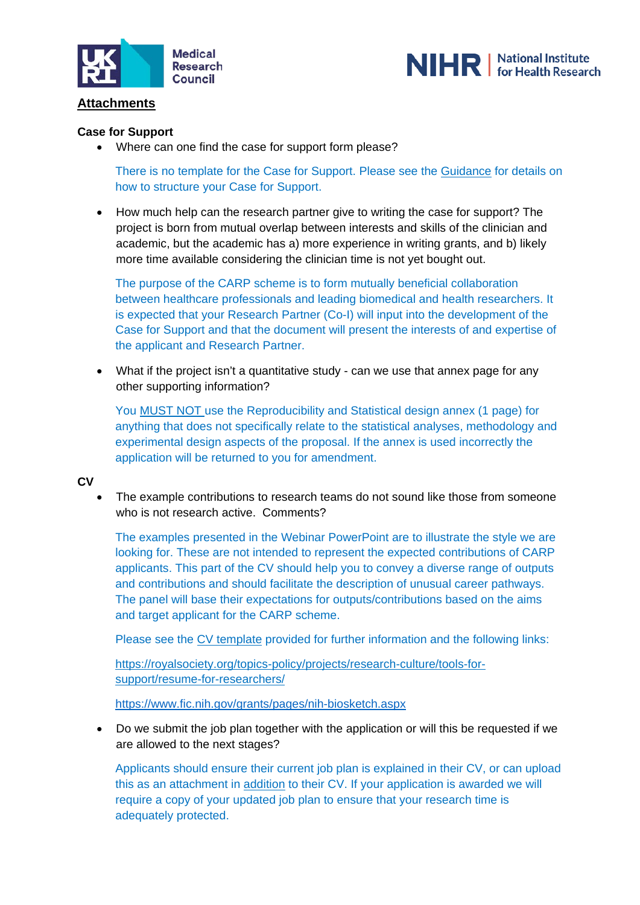



## **Attachments**

### **Case for Support**

• Where can one find the case for support form please?

There is no template for the Case for Support. Please see the [Guidance](https://mrc.ukri.org/funding/browse/clinical-academic-research-partnerships/clinical-academic-research-partnerships-round-3-announcement/carp-round-3-guidance-2020/) for details on how to structure your Case for Support.

• How much help can the research partner give to writing the case for support? The project is born from mutual overlap between interests and skills of the clinician and academic, but the academic has a) more experience in writing grants, and b) likely more time available considering the clinician time is not yet bought out.

The purpose of the CARP scheme is to form mutually beneficial collaboration between healthcare professionals and leading biomedical and health researchers. It is expected that your Research Partner (Co-I) will input into the development of the Case for Support and that the document will present the interests of and expertise of the applicant and Research Partner.

• What if the project isn't a quantitative study - can we use that annex page for any other supporting information?

You MUST NOT use the Reproducibility and Statistical design annex (1 page) for anything that does not specifically relate to the statistical analyses, methodology and experimental design aspects of the proposal. If the annex is used incorrectly the application will be returned to you for amendment.

### **CV**

The example contributions to research teams do not sound like those from someone who is not research active. Comments?

The examples presented in the Webinar PowerPoint are to illustrate the style we are looking for. These are not intended to represent the expected contributions of CARP applicants. This part of the CV should help you to convey a diverse range of outputs and contributions and should facilitate the description of unusual career pathways. The panel will base their expectations for outputs/contributions based on the aims and target applicant for the CARP scheme.

Please see the [CV template](https://mrc.ukri.org/funding/browse/clinical-academic-research-partnerships/clinical-academic-research-partnerships-round-3-announcement/carp-round-3-cv-template-2020-v1/) provided for further information and the following links:

[https://royalsociety.org/topics-policy/projects/research-culture/tools-for](https://royalsociety.org/topics-policy/projects/research-culture/tools-for-support/resume-for-researchers/)[support/resume-for-researchers/](https://royalsociety.org/topics-policy/projects/research-culture/tools-for-support/resume-for-researchers/)

<https://www.fic.nih.gov/grants/pages/nih-biosketch.aspx>

• Do we submit the job plan together with the application or will this be requested if we are allowed to the next stages?

Applicants should ensure their current job plan is explained in their CV, or can upload this as an attachment in addition to their CV. If your application is awarded we will require a copy of your updated job plan to ensure that your research time is adequately protected.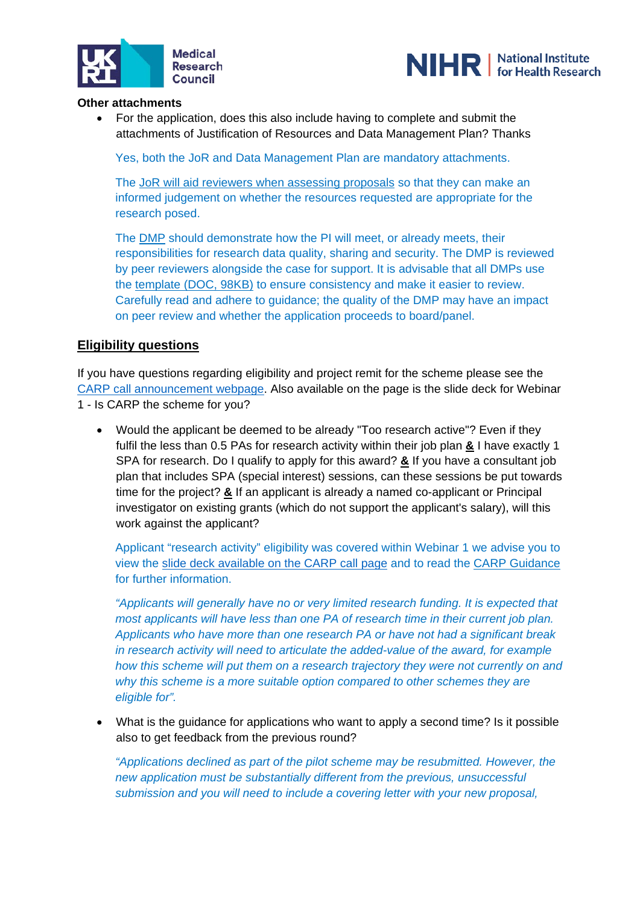



### **Other attachments**

• For the application, does this also include having to complete and submit the attachments of Justification of Resources and Data Management Plan? Thanks

Yes, both the JoR and Data Management Plan are mandatory attachments.

The [JoR will aid reviewers when assessing proposals](https://mrc.ukri.org/funding/guidance-for-applicants/2-the-application/#2.2.4) so that they can make an informed judgement on whether the resources requested are appropriate for the research posed.

The [DMP](https://mrc.ukri.org/funding/guidance-for-applicants/2-the-application/#2.2.7) should demonstrate how the PI will meet, or already meets, their responsibilities for research data quality, sharing and security. The DMP is reviewed by peer reviewers alongside the case for support. It is advisable that all DMPs use the [template \(DOC, 98KB\)](https://mrc.ukri.org/documents/doc/data-management-plan-template/) to ensure consistency and make it easier to review. Carefully read and adhere to guidance; the quality of the DMP may have an impact on peer review and whether the application proceeds to board/panel.

## **Eligibility questions**

If you have questions regarding eligibility and project remit for the scheme please see the [CARP call announcement webpage.](https://mrc.ukri.org/funding/browse/clinical-academic-research-partnerships/clinical-academic-research-partnerships-round-3-announcement/) Also available on the page is the slide deck for Webinar 1 - Is CARP the scheme for you?

• Would the applicant be deemed to be already "Too research active"? Even if they fulfil the less than 0.5 PAs for research activity within their job plan **&** I have exactly 1 SPA for research. Do I qualify to apply for this award? **&** If you have a consultant job plan that includes SPA (special interest) sessions, can these sessions be put towards time for the project? **&** If an applicant is already a named co-applicant or Principal investigator on existing grants (which do not support the applicant's salary), will this work against the applicant?

Applicant "research activity" eligibility was covered within Webinar 1 we advise you to view the [slide deck available on the CARP call page](https://mrc.ukri.org/funding/browse/clinical-academic-research-partnerships/clinical-academic-research-partnerships-round-3-announcement/is-carp-the-scheme-for-you-july-2020/) and to read the [CARP Guidance](https://mrc.ukri.org/funding/browse/clinical-academic-research-partnerships/clinical-academic-research-partnerships-round-3-announcement/carp-round-3-guidance-2020/) for further information.

*"Applicants will generally have no or very limited research funding. It is expected that most applicants will have less than one PA of research time in their current job plan. Applicants who have more than one research PA or have not had a significant break in research activity will need to articulate the added-value of the award, for example how this scheme will put them on a research trajectory they were not currently on and why this scheme is a more suitable option compared to other schemes they are eligible for".*

• What is the guidance for applications who want to apply a second time? Is it possible also to get feedback from the previous round?

*"Applications declined as part of the pilot scheme may be resubmitted. However, the new application must be substantially different from the previous, unsuccessful submission and you will need to include a covering letter with your new proposal,*